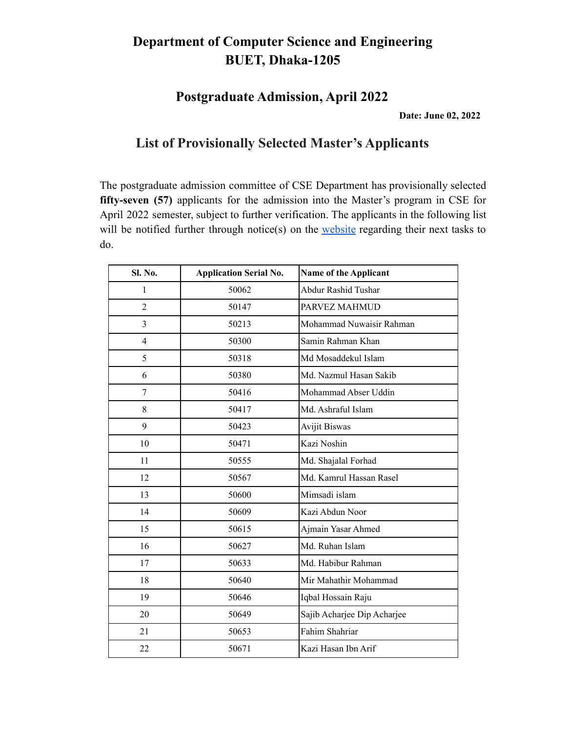#### **Department of Computer Science and Engineering BUET, Dhaka-1205**

**Postgraduate Admission, April 2022**

**Date: June 02, 2022**

#### **List of Provisionally Selected Master's Applicants**

The postgraduate admission committee of CSE Department has provisionally selected **fifty-seven (57)** applicants for the admission into the Master's program in CSE for April 2022 semester, subject to further verification. The applicants in the following list will be notified further through notice(s) on the [website](https://cse.buet.ac.bd/home/news_detail/146) regarding their next tasks to do.

| Sl. No.        | <b>Application Serial No.</b> | Name of the Applicant       |
|----------------|-------------------------------|-----------------------------|
| $\mathbf{1}$   | 50062                         | Abdur Rashid Tushar         |
| $\overline{2}$ | 50147                         | PARVEZ MAHMUD               |
| $\overline{3}$ | 50213                         | Mohammad Nuwaisir Rahman    |
| $\overline{4}$ | 50300                         | Samin Rahman Khan           |
| 5              | 50318                         | Md Mosaddekul Islam         |
| 6              | 50380                         | Md. Nazmul Hasan Sakib      |
| 7              | 50416                         | Mohammad Abser Uddin        |
| 8              | 50417                         | Md. Ashraful Islam          |
| 9              | 50423                         | <b>Avijit Biswas</b>        |
| 10             | 50471                         | Kazi Noshin                 |
| 11             | 50555                         | Md. Shajalal Forhad         |
| 12             | 50567                         | Md. Kamrul Hassan Rasel     |
| 13             | 50600                         | Mimsadi islam               |
| 14             | 50609                         | Kazi Abdun Noor             |
| 15             | 50615                         | Ajmain Yasar Ahmed          |
| 16             | 50627                         | Md. Ruhan Islam             |
| 17             | 50633                         | Md. Habibur Rahman          |
| 18             | 50640                         | Mir Mahathir Mohammad       |
| 19             | 50646                         | Iqbal Hossain Raju          |
| 20             | 50649                         | Sajib Acharjee Dip Acharjee |
| 21             | 50653                         | Fahim Shahriar              |
| 22             | 50671                         | Kazi Hasan Ibn Arif         |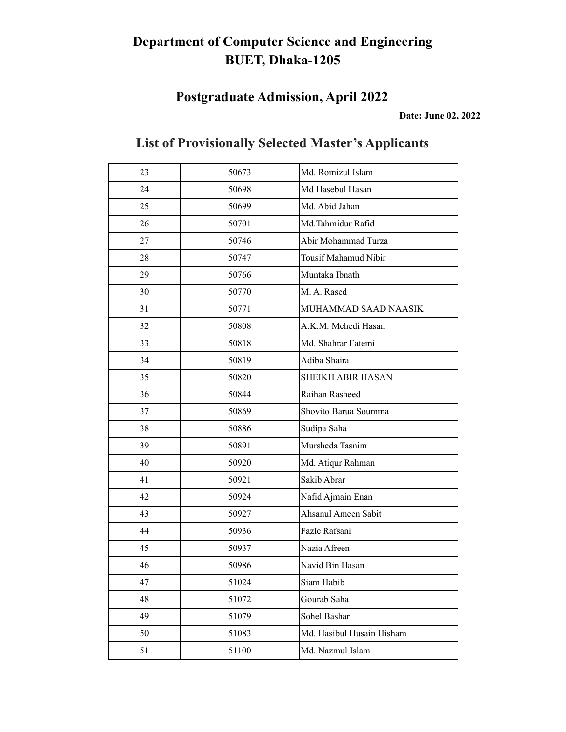# **Department of Computer Science and Engineering BUET, Dhaka-1205**

### **Postgraduate Admission, April 2022**

**Date: June 02, 2022**

| 23 | 50673 | Md. Romizul Islam         |
|----|-------|---------------------------|
| 24 | 50698 | Md Hasebul Hasan          |
| 25 | 50699 | Md. Abid Jahan            |
| 26 | 50701 | Md.Tahmidur Rafid         |
| 27 | 50746 | Abir Mohammad Turza       |
| 28 | 50747 | Tousif Mahamud Nibir      |
| 29 | 50766 | Muntaka Ibnath            |
| 30 | 50770 | M. A. Rased               |
| 31 | 50771 | MUHAMMAD SAAD NAASIK      |
| 32 | 50808 | A.K.M. Mehedi Hasan       |
| 33 | 50818 | Md. Shahrar Fatemi        |
| 34 | 50819 | Adiba Shaira              |
| 35 | 50820 | <b>SHEIKH ABIR HASAN</b>  |
| 36 | 50844 | Raihan Rasheed            |
| 37 | 50869 | Shovito Barua Soumma      |
| 38 | 50886 | Sudipa Saha               |
| 39 | 50891 | Mursheda Tasnim           |
| 40 | 50920 | Md. Atiqur Rahman         |
| 41 | 50921 | Sakib Abrar               |
| 42 | 50924 | Nafid Ajmain Enan         |
| 43 | 50927 | Ahsanul Ameen Sabit       |
| 44 | 50936 | Fazle Rafsani             |
| 45 | 50937 | Nazia Afreen              |
| 46 | 50986 | Navid Bin Hasan           |
| 47 | 51024 | Siam Habib                |
| 48 | 51072 | Gourab Saha               |
| 49 | 51079 | Sohel Bashar              |
| 50 | 51083 | Md. Hasibul Husain Hisham |
| 51 | 51100 | Md. Nazmul Islam          |

### **List of Provisionally Selected Master's Applicants**